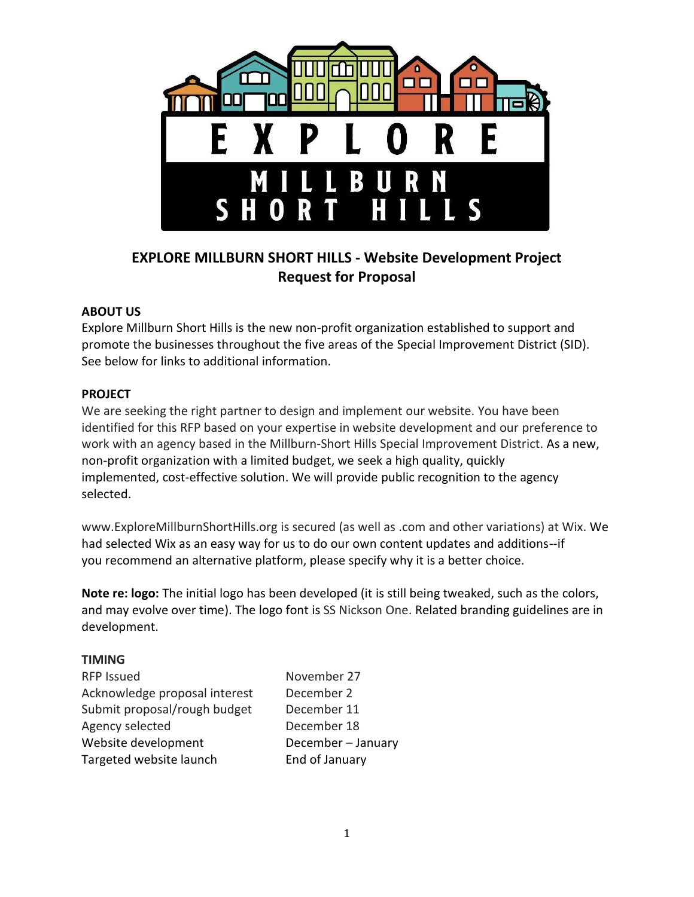

# **EXPLORE MILLBURN SHORT HILLS - Website Development Project Request for Proposal**

#### **ABOUT US**

Explore Millburn Short Hills is the new non-profit organization established to support and promote the businesses throughout the five areas of the Special Improvement District (SID). See below for links to additional information.

#### **PROJECT**

We are seeking the right partner to design and implement our website. You have been identified for this RFP based on your expertise in website development and our preference to work with an agency based in the Millburn-Short Hills Special Improvement District. As a new, non-profit organization with a limited budget, we seek a high quality, quickly implemented, cost-effective solution. We will provide public recognition to the agency selected.

www.ExploreMillburnShortHills.org is secured (as well as .com and other variations) at Wix. We had selected Wix as an easy way for us to do our own content updates and additions--if you recommend an alternative platform, please specify why it is a better choice.

**Note re: logo:** The initial logo has been developed (it is still being tweaked, such as the colors, and may evolve over time). The logo font is SS Nickson One. Related branding guidelines are in development.

#### **TIMING**

| <b>RFP Issued</b>             |
|-------------------------------|
| Acknowledge proposal interest |
| Submit proposal/rough budget  |
| Agency selected               |
| Website development           |
| Targeted website launch       |

November 27 December 2 December 11 December 18 December – January End of January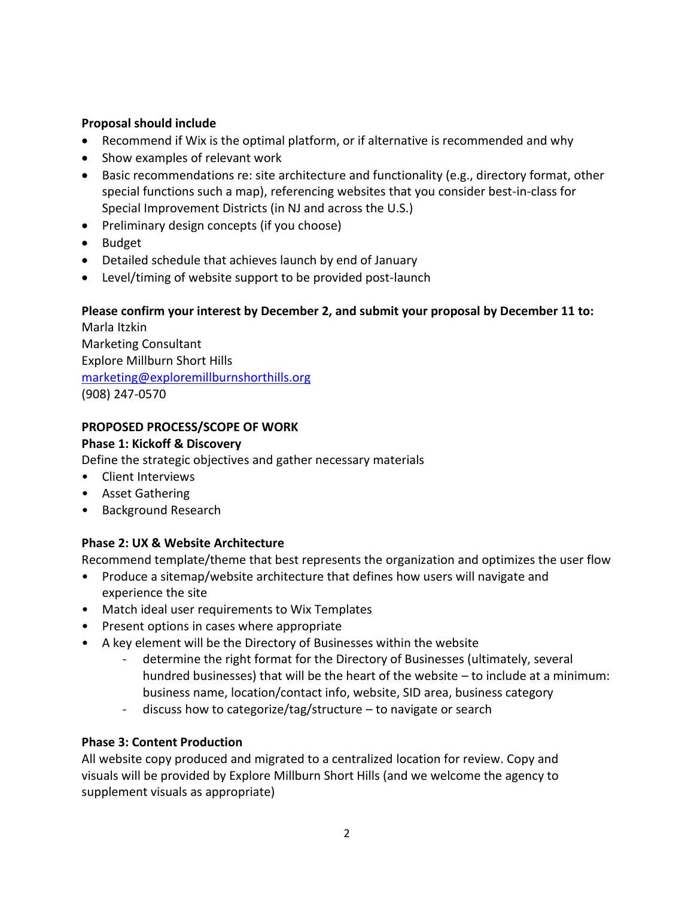## **Proposal should include**

- Recommend if Wix is the optimal platform, or if alternative is recommended and why
- Show examples of relevant work
- Basic recommendations re: site architecture and functionality (e.g., directory format, other special functions such a map), referencing websites that you consider best-in-class for Special Improvement Districts (in NJ and across the U.S.)
- Preliminary design concepts (if you choose)
- Budget
- Detailed schedule that achieves launch by end of January
- Level/timing of website support to be provided post-launch

# **Please confirm your interest by December 2, and submit your proposal by December 11 to:**

Marla Itzkin Marketing Consultant Explore Millburn Short Hills [marketing@exploremillburnshorthills.org](mailto:marketing@exploremillburnshorthills.org) (908) 247-0570

# **PROPOSED PROCESS/SCOPE OF WORK**

#### **Phase 1: Kickoff & Discovery**

Define the strategic objectives and gather necessary materials

- Client Interviews
- Asset Gathering
- Background Research

## **Phase 2: UX & Website Architecture**

Recommend template/theme that best represents the organization and optimizes the user flow

- Produce a sitemap/website architecture that defines how users will navigate and experience the site
- Match ideal user requirements to Wix Templates
- Present options in cases where appropriate
- A key element will be the Directory of Businesses within the website
	- determine the right format for the Directory of Businesses (ultimately, several hundred businesses) that will be the heart of the website – to include at a minimum: business name, location/contact info, website, SID area, business category
	- discuss how to categorize/tag/structure to navigate or search

## **Phase 3: Content Production**

All website copy produced and migrated to a centralized location for review. Copy and visuals will be provided by Explore Millburn Short Hills (and we welcome the agency to supplement visuals as appropriate)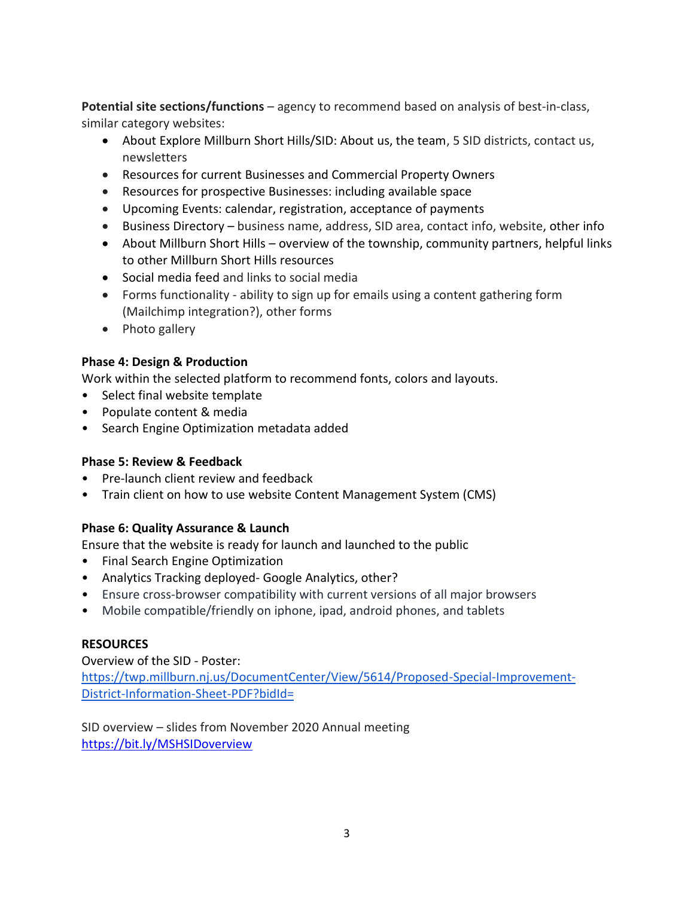**Potential site sections/functions** – agency to recommend based on analysis of best-in-class, similar category websites:

- About Explore Millburn Short Hills/SID: About us, the team, 5 SID districts, contact us, newsletters
- Resources for current Businesses and Commercial Property Owners
- Resources for prospective Businesses: including available space
- Upcoming Events: calendar, registration, acceptance of payments
- Business Directory business name, address, SID area, contact info, website, other info
- About Millburn Short Hills overview of the township, community partners, helpful links to other Millburn Short Hills resources
- Social media feed and links to social media
- Forms functionality ability to sign up for emails using a content gathering form (Mailchimp integration?), other forms
- Photo gallery

## **Phase 4: Design & Production**

Work within the selected platform to recommend fonts, colors and layouts.

- Select final website template
- Populate content & media
- Search Engine Optimization metadata added

## **Phase 5: Review & Feedback**

- Pre-launch client review and feedback
- Train client on how to use website Content Management System (CMS)

## **Phase 6: Quality Assurance & Launch**

Ensure that the website is ready for launch and launched to the public

- Final Search Engine Optimization
- Analytics Tracking deployed- Google Analytics, other?
- Ensure cross-browser compatibility with current versions of all major browsers
- Mobile compatible/friendly on iphone, ipad, android phones, and tablets

## **RESOURCES**

Overview of the SID - Poster:

[https://twp.millburn.nj.us/DocumentCenter/View/5614/Proposed-Special-Improvement-](https://twp.millburn.nj.us/DocumentCenter/View/5614/Proposed-Special-Improvement-District-Information-Sheet-PDF?bidId=)[District-Information-Sheet-PDF?bidId=](https://twp.millburn.nj.us/DocumentCenter/View/5614/Proposed-Special-Improvement-District-Information-Sheet-PDF?bidId=)

SID overview – slides from November 2020 Annual meeting <https://bit.ly/MSHSIDoverview>